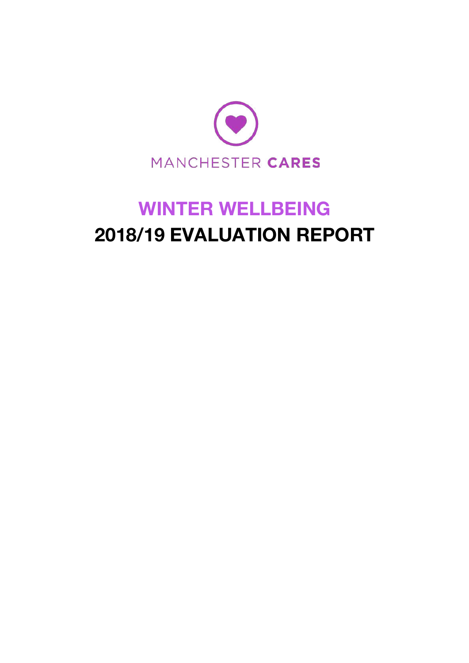

# **WINTER WELLBEING 2018/19 EVALUATION REPORT**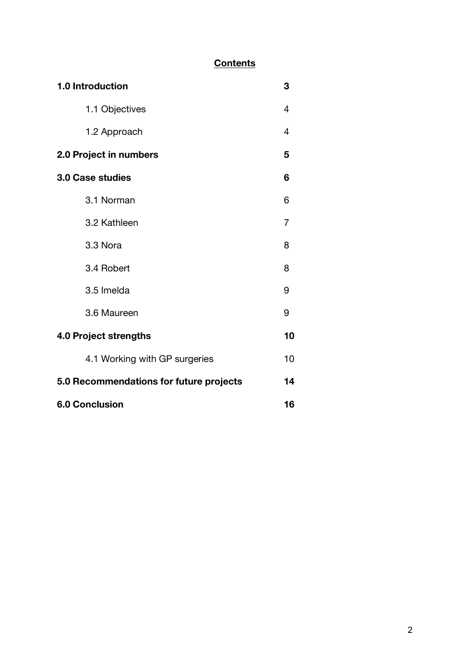### **Contents**

| 1.0 Introduction                        | 3              |
|-----------------------------------------|----------------|
| 1.1 Objectives                          | 4              |
| 1.2 Approach                            | $\overline{4}$ |
| 2.0 Project in numbers                  | 5              |
| <b>3.0 Case studies</b>                 | 6              |
| 3.1 Norman                              | 6              |
| 3.2 Kathleen                            | 7              |
| 3.3 Nora                                | 8              |
| 3.4 Robert                              | 8              |
| 3.5 Imelda                              | 9              |
| 3.6 Maureen                             | 9              |
| <b>4.0 Project strengths</b>            | 10             |
| 4.1 Working with GP surgeries           | 10             |
| 5.0 Recommendations for future projects | 14             |
| <b>6.0 Conclusion</b>                   | 16             |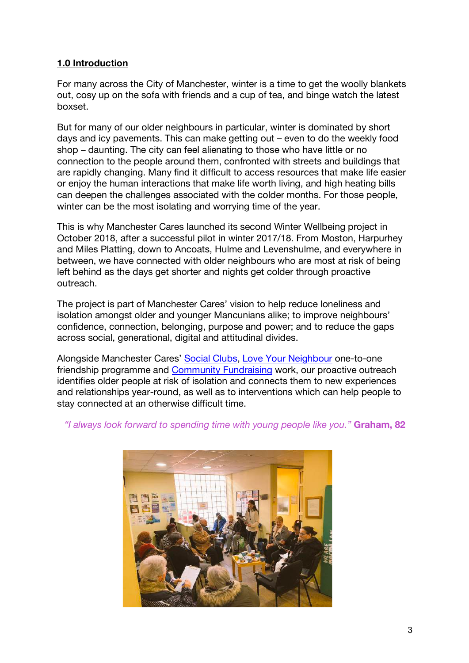#### **1.0 Introduction**

For many across the City of Manchester, winter is a time to get the woolly blankets out, cosy up on the sofa with friends and a cup of tea, and binge watch the latest boxset.

But for many of our older neighbours in particular, winter is dominated by short days and icy pavements. This can make getting out – even to do the weekly food shop – daunting. The city can feel alienating to those who have little or no connection to the people around them, confronted with streets and buildings that are rapidly changing. Many find it difficult to access resources that make life easier or enjoy the human interactions that make life worth living, and high heating bills can deepen the challenges associated with the colder months. For those people, winter can be the most isolating and worrying time of the year.

This is why Manchester Cares launched its second Winter Wellbeing project in October 2018, after a successful pilot in winter 2017/18. From Moston, Harpurhey and Miles Platting, down to Ancoats, Hulme and Levenshulme, and everywhere in between, we have connected with older neighbours who are most at risk of being left behind as the days get shorter and nights get colder through proactive outreach.

The project is part of Manchester Cares' vision to help reduce loneliness and isolation amongst older and younger Mancunians alike; to improve neighbours' confidence, connection, belonging, purpose and power; and to reduce the gaps across social, generational, digital and attitudinal divides.

Alongside Manchester Cares' Social Clubs, Love Your Neighbour one-to-one friendship programme and Community Fundraising work, our proactive outreach identifies older people at risk of isolation and connects them to new experiences and relationships year-round, as well as to interventions which can help people to stay connected at an otherwise difficult time.

*"I always look forward to spending time with young people like you."* **Graham, 82**

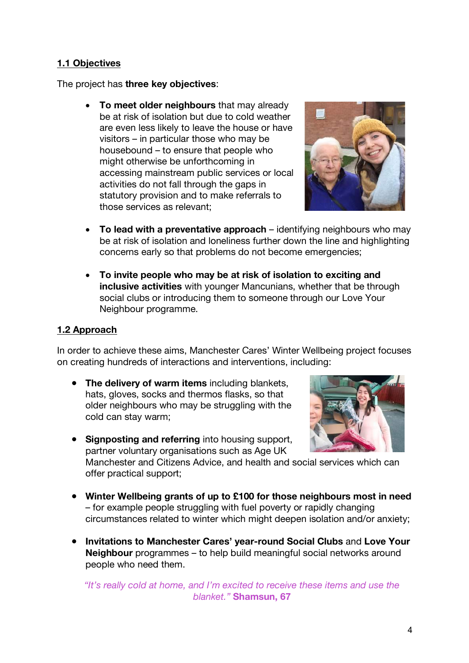#### **1.1 Objectives**

The project has **three key objectives**:

• **To meet older neighbours** that may already be at risk of isolation but due to cold weather are even less likely to leave the house or have visitors – in particular those who may be housebound – to ensure that people who might otherwise be unforthcoming in accessing mainstream public services or local activities do not fall through the gaps in statutory provision and to make referrals to those services as relevant;



- **To lead with a preventative approach** identifying neighbours who may be at risk of isolation and loneliness further down the line and highlighting concerns early so that problems do not become emergencies;
- **To invite people who may be at risk of isolation to exciting and inclusive activities** with younger Mancunians, whether that be through social clubs or introducing them to someone through our Love Your Neighbour programme.

#### **1.2 Approach**

In order to achieve these aims, Manchester Cares' Winter Wellbeing project focuses on creating hundreds of interactions and interventions, including:

● **The delivery of warm items** including blankets, hats, gloves, socks and thermos flasks, so that older neighbours who may be struggling with the cold can stay warm;



● **Signposting and referring** into housing support, partner voluntary organisations such as Age UK

Manchester and Citizens Advice, and health and social services which can offer practical support;

- **Winter Wellbeing grants of up to £100 for those neighbours most in need** – for example people struggling with fuel poverty or rapidly changing circumstances related to winter which might deepen isolation and/or anxiety;
- **Invitations to Manchester Cares' year-round Social Clubs** and **Love Your Neighbour** programmes – to help build meaningful social networks around people who need them.

*"It's really cold at home, and I'm excited to receive these items and use the blanket."* **Shamsun, 67**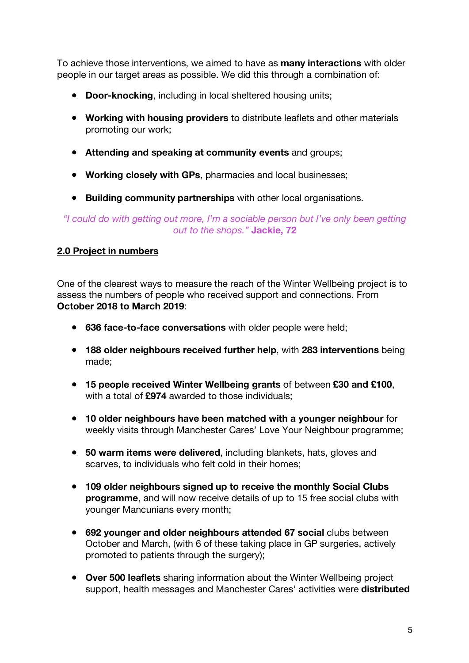To achieve those interventions, we aimed to have as **many interactions** with older people in our target areas as possible. We did this through a combination of:

- **Door-knocking**, including in local sheltered housing units;
- **Working with housing providers** to distribute leaflets and other materials promoting our work;
- **Attending and speaking at community events** and groups;
- **Working closely with GPs**, pharmacies and local businesses;
- **Building community partnerships** with other local organisations.

*"I could do with getting out more, I'm a sociable person but I've only been getting out to the shops."* **Jackie, 72**

#### **2.0 Project in numbers**

One of the clearest ways to measure the reach of the Winter Wellbeing project is to assess the numbers of people who received support and connections. From **October 2018 to March 2019**:

- **636 face-to-face conversations** with older people were held;
- **188 older neighbours received further help**, with **283 interventions** being made;
- **15 people received Winter Wellbeing grants** of between **£30 and £100**, with a total of **£974** awarded to those individuals;
- **10 older neighbours have been matched with a younger neighbour** for weekly visits through Manchester Cares' Love Your Neighbour programme;
- **50 warm items were delivered**, including blankets, hats, gloves and scarves, to individuals who felt cold in their homes;
- **109 older neighbours signed up to receive the monthly Social Clubs programme**, and will now receive details of up to 15 free social clubs with younger Mancunians every month;
- **692 younger and older neighbours attended 67 social** clubs between October and March, (with 6 of these taking place in GP surgeries, actively promoted to patients through the surgery);
- **Over 500 leaflets** sharing information about the Winter Wellbeing project support, health messages and Manchester Cares' activities were **distributed**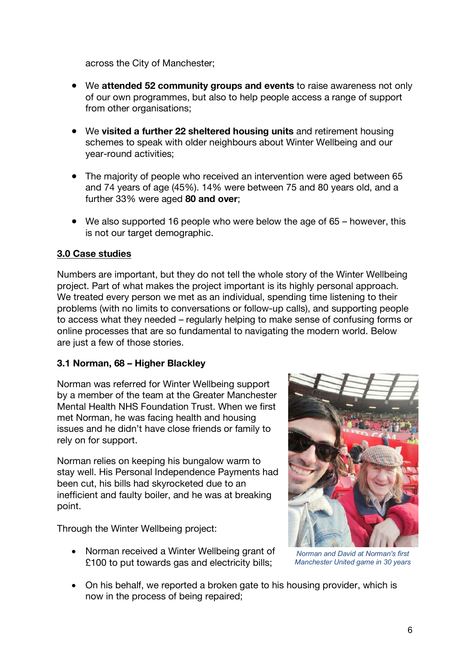across the City of Manchester;

- We **attended 52 community groups and events** to raise awareness not only of our own programmes, but also to help people access a range of support from other organisations;
- We **visited a further 22 sheltered housing units** and retirement housing schemes to speak with older neighbours about Winter Wellbeing and our year-round activities;
- The majority of people who received an intervention were aged between 65 and 74 years of age (45%). 14% were between 75 and 80 years old, and a further 33% were aged **80 and over**;
- We also supported 16 people who were below the age of 65 however, this is not our target demographic.

#### **3.0 Case studies**

Numbers are important, but they do not tell the whole story of the Winter Wellbeing project. Part of what makes the project important is its highly personal approach. We treated every person we met as an individual, spending time listening to their problems (with no limits to conversations or follow-up calls), and supporting people to access what they needed – regularly helping to make sense of confusing forms or online processes that are so fundamental to navigating the modern world. Below are just a few of those stories.

#### **3.1 Norman, 68 – Higher Blackley**

Norman was referred for Winter Wellbeing support by a member of the team at the Greater Manchester Mental Health NHS Foundation Trust. When we first met Norman, he was facing health and housing issues and he didn't have close friends or family to rely on for support.

Norman relies on keeping his bungalow warm to stay well. His Personal Independence Payments had been cut, his bills had skyrocketed due to an inefficient and faulty boiler, and he was at breaking point.

Through the Winter Wellbeing project:

• Norman received a Winter Wellbeing grant of £100 to put towards gas and electricity bills;



*Norman and David at Norman's first Manchester United game in 30 years*

• On his behalf, we reported a broken gate to his housing provider, which is now in the process of being repaired;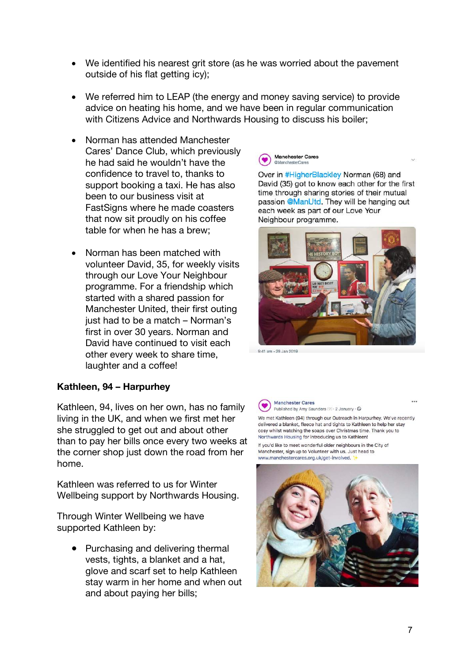- We identified his nearest grit store (as he was worried about the pavement outside of his flat getting icy);
- We referred him to LEAP (the energy and money saving service) to provide advice on heating his home, and we have been in regular communication with Citizens Advice and Northwards Housing to discuss his boiler;
- Norman has attended Manchester Cares' Dance Club, which previously he had said he wouldn't have the confidence to travel to, thanks to support booking a taxi. He has also been to our business visit at FastSigns where he made coasters that now sit proudly on his coffee table for when he has a brew;
- Norman has been matched with volunteer David, 35, for weekly visits through our Love Your Neighbour programme. For a friendship which started with a shared passion for Manchester United, their first outing just had to be a match – Norman's first in over 30 years. Norman and David have continued to visit each other every week to share time, laughter and a coffee!

## **Manchester Cares**

Over in #HigherBlackley Norman (68) and David (35) got to know each other for the first time through sharing stories of their mutual passion @ManUtd. They will be hanging out each week as part of our Love Your Neighbour programme.



9:41 am - 28 Jan 2019

#### **Kathleen, 94 – Harpurhey**

Kathleen, 94, lives on her own, has no family living in the UK, and when we first met her she struggled to get out and about other than to pay her bills once every two weeks at the corner shop just down the road from her home.

Kathleen was referred to us for Winter Wellbeing support by Northwards Housing.

Through Winter Wellbeing we have supported Kathleen by:

> ● Purchasing and delivering thermal vests, tights, a blanket and a hat, glove and scarf set to help Kathleen stay warm in her home and when out and about paying her bills;

**Manchester Cares** Published by Amy Saunders [?] · 2 January · O

We met Kathleen (94) through our Outreach in Harpurhey. We've recently delivered a blanket, fleece hat and tights to Kathleen to help her stay cosy whilst watching the soaps over Christmas time. Thank you to Northwards Housing for introducing us to Kathleen!

If you'd like to meet wonderful older neighbours in the City of Manchester, sign up to Volunteer with us. Just head to www.manchestercares.org.uk/get-involved.



 $\ddot{\phantom{a}}$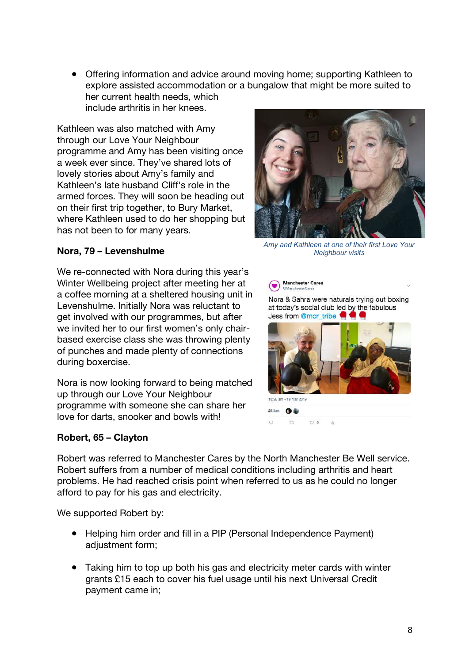● Offering information and advice around moving home; supporting Kathleen to explore assisted accommodation or a bungalow that might be more suited to her current health needs, which include arthritis in her knees.

Kathleen was also matched with Amy through our Love Your Neighbour programme and Amy has been visiting once a week ever since. They've shared lots of lovely stories about Amy's family and Kathleen's late husband Cliff's role in the armed forces. They will soon be heading out on their first trip together, to Bury Market, where Kathleen used to do her shopping but has not been to for many years.

#### **Nora, 79 – Levenshulme**

We re-connected with Nora during this year's Winter Wellbeing project after meeting her at a coffee morning at a sheltered housing unit in Levenshulme. Initially Nora was reluctant to get involved with our programmes, but after we invited her to our first women's only chairbased exercise class she was throwing plenty of punches and made plenty of connections during boxercise.

Nora is now looking forward to being matched up through our Love Your Neighbour programme with someone she can share her love for darts, snooker and bowls with!

#### **Robert, 65 – Clayton**



*Amy and Kathleen at one of their first Love Your Neighbour visits*





Robert was referred to Manchester Cares by the North Manchester Be Well service. Robert suffers from a number of medical conditions including arthritis and heart problems. He had reached crisis point when referred to us as he could no longer afford to pay for his gas and electricity.

We supported Robert by:

- Helping him order and fill in a PIP (Personal Independence Payment) adjustment form;
- Taking him to top up both his gas and electricity meter cards with winter grants £15 each to cover his fuel usage until his next Universal Credit payment came in;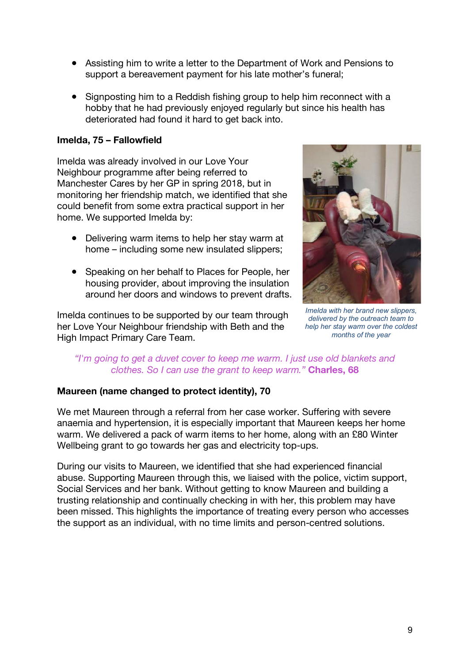- Assisting him to write a letter to the Department of Work and Pensions to support a bereavement payment for his late mother's funeral;
- Signposting him to a Reddish fishing group to help him reconnect with a hobby that he had previously enjoyed regularly but since his health has deteriorated had found it hard to get back into.

#### **Imelda, 75 – Fallowfield**

Imelda was already involved in our Love Your Neighbour programme after being referred to Manchester Cares by her GP in spring 2018, but in monitoring her friendship match, we identified that she could benefit from some extra practical support in her home. We supported Imelda by:

- Delivering warm items to help her stay warm at home – including some new insulated slippers;
- Speaking on her behalf to Places for People, her housing provider, about improving the insulation around her doors and windows to prevent drafts.

Imelda continues to be supported by our team through her Love Your Neighbour friendship with Beth and the High Impact Primary Care Team.



*Imelda with her brand new slippers, delivered by the outreach team to help her stay warm over the coldest months of the year*

#### *"I'm going to get a duvet cover to keep me warm. I just use old blankets and clothes. So I can use the grant to keep warm."* **Charles, 68**

#### **Maureen (name changed to protect identity), 70**

We met Maureen through a referral from her case worker. Suffering with severe anaemia and hypertension, it is especially important that Maureen keeps her home warm. We delivered a pack of warm items to her home, along with an £80 Winter Wellbeing grant to go towards her gas and electricity top-ups.

During our visits to Maureen, we identified that she had experienced financial abuse. Supporting Maureen through this, we liaised with the police, victim support, Social Services and her bank. Without getting to know Maureen and building a trusting relationship and continually checking in with her, this problem may have been missed. This highlights the importance of treating every person who accesses the support as an individual, with no time limits and person-centred solutions.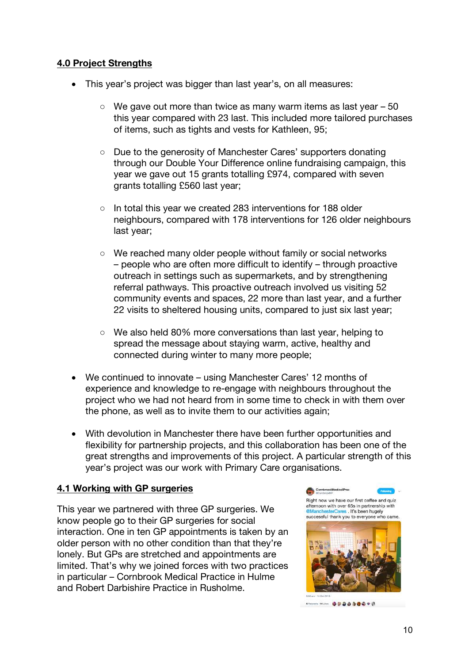#### **4.0 Project Strengths**

- This year's project was bigger than last year's, on all measures:
	- $\degree$  We gave out more than twice as many warm items as last year  $-50$ this year compared with 23 last. This included more tailored purchases of items, such as tights and vests for Kathleen, 95;
	- Due to the generosity of Manchester Cares' supporters donating through our Double Your Difference online fundraising campaign, this year we gave out 15 grants totalling £974, compared with seven grants totalling £560 last year;
	- In total this year we created 283 interventions for 188 older neighbours, compared with 178 interventions for 126 older neighbours last year;
	- We reached many older people without family or social networks – people who are often more difficult to identify – through proactive outreach in settings such as supermarkets, and by strengthening referral pathways. This proactive outreach involved us visiting 52 community events and spaces, 22 more than last year, and a further 22 visits to sheltered housing units, compared to just six last year;
	- We also held 80% more conversations than last year, helping to spread the message about staying warm, active, healthy and connected during winter to many more people;
- We continued to innovate using Manchester Cares' 12 months of experience and knowledge to re-engage with neighbours throughout the project who we had not heard from in some time to check in with them over the phone, as well as to invite them to our activities again;
- With devolution in Manchester there have been further opportunities and flexibility for partnership projects, and this collaboration has been one of the great strengths and improvements of this project. A particular strength of this year's project was our work with Primary Care organisations.

#### **4.1 Working with GP surgeries**

This year we partnered with three GP surgeries. We know people go to their GP surgeries for social interaction. One in ten GP appointments is taken by an older person with no other condition than that they're lonely. But GPs are stretched and appointments are limited. That's why we joined forces with two practices in particular – Cornbrook Medical Practice in Hulme and Robert Darbishire Practice in Rusholme.

Right now we have our first coffee and quiz afternoon with over 65s in partnership with **@Manch** erCares . It's been hugely successful thank you to everyone who came



**STANDON MILKOL GOOD DOGOOD**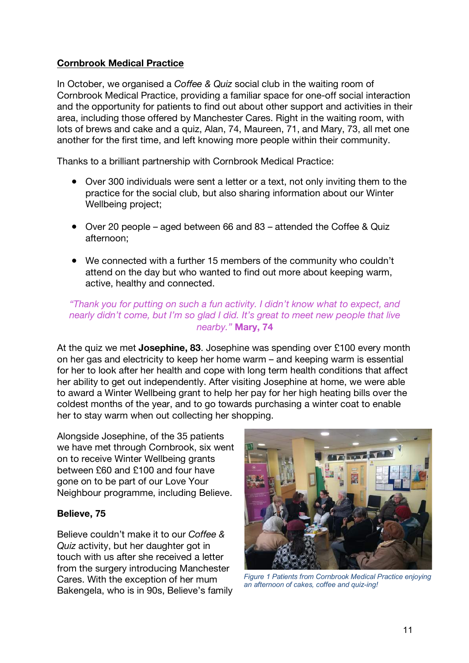#### **Cornbrook Medical Practice**

In October, we organised a *Coffee & Quiz* social club in the waiting room of Cornbrook Medical Practice, providing a familiar space for one-off social interaction and the opportunity for patients to find out about other support and activities in their area, including those offered by Manchester Cares. Right in the waiting room, with lots of brews and cake and a quiz, Alan, 74, Maureen, 71, and Mary, 73, all met one another for the first time, and left knowing more people within their community.

Thanks to a brilliant partnership with Cornbrook Medical Practice:

- Over 300 individuals were sent a letter or a text, not only inviting them to the practice for the social club, but also sharing information about our Winter Wellbeing project;
- Over 20 people aged between 66 and 83 attended the Coffee & Quiz afternoon;
- We connected with a further 15 members of the community who couldn't attend on the day but who wanted to find out more about keeping warm, active, healthy and connected.

#### *"Thank you for putting on such a fun activity. I didn't know what to expect, and nearly didn't come, but I'm so glad I did. It's great to meet new people that live nearby."* **Mary, 74**

At the quiz we met **Josephine, 83**. Josephine was spending over £100 every month on her gas and electricity to keep her home warm – and keeping warm is essential for her to look after her health and cope with long term health conditions that affect her ability to get out independently. After visiting Josephine at home, we were able to award a Winter Wellbeing grant to help her pay for her high heating bills over the coldest months of the year, and to go towards purchasing a winter coat to enable her to stay warm when out collecting her shopping.

Alongside Josephine, of the 35 patients we have met through Cornbrook, six went on to receive Winter Wellbeing grants between £60 and £100 and four have gone on to be part of our Love Your Neighbour programme, including Believe.

#### **Believe, 75**

Believe couldn't make it to our *Coffee & Quiz* activity, but her daughter got in touch with us after she received a letter from the surgery introducing Manchester Cares. With the exception of her mum Bakengela, who is in 90s, Believe's family



*Figure 1 Patients from Cornbrook Medical Practice enjoying an afternoon of cakes, coffee and quiz-ing!*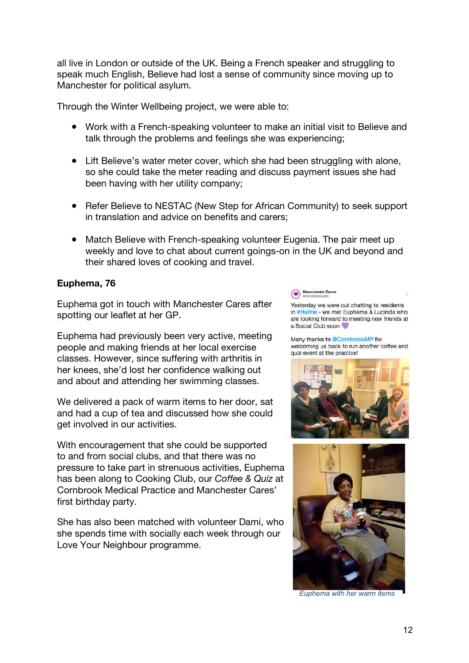all live in London or outside of the UK. Being a French speaker and struggling to speak much English, Believe had lost a sense of community since moving up to Manchester for political asylum.

Through the Winter Wellbeing project, we were able to:

- Work with a French-speaking volunteer to make an initial visit to Believe and talk through the problems and feelings she was experiencing;
- Lift Believe's water meter cover, which she had been struggling with alone, so she could take the meter reading and discuss payment issues she had been having with her utility company;
- Refer Believe to NESTAC (New Step for African Community) to seek support in translation and advice on benefits and carers;
- Match Believe with French-speaking volunteer Eugenia. The pair meet up weekly and love to chat about current goings-on in the UK and beyond and their shared loves of cooking and travel.

#### **Euphema, 76**

Euphema got in touch with Manchester Cares after spotting our leaflet at her GP.

Euphema had previously been very active, meeting people and making friends at her local exercise classes. However, since suffering with arthritis in her knees, she'd lost her confidence walking out and about and attending her swimming classes.

We delivered a pack of warm items to her door, sat and had a cup of tea and discussed how she could get involved in our activities.

With encouragement that she could be supported to and from social clubs, and that there was no pressure to take part in strenuous activities, Euphema has been along to Cooking Club, our *Coffee & Quiz* at Cornbrook Medical Practice and Manchester Cares' first birthday party.

She has also been matched with volunteer Dami, who she spends time with socially each week through our Love Your Neighbour programme.

#### $\bullet$

Yesterday we were out chatting to residents in #Hulme - we met Euphema & Lucinda who are looking forward to meeting new friends at a Social Club soon

Many thanks to @CornbrookMP for welcoming us back to run another coffee and quiz event at the practice!





*Euphema with her warm items*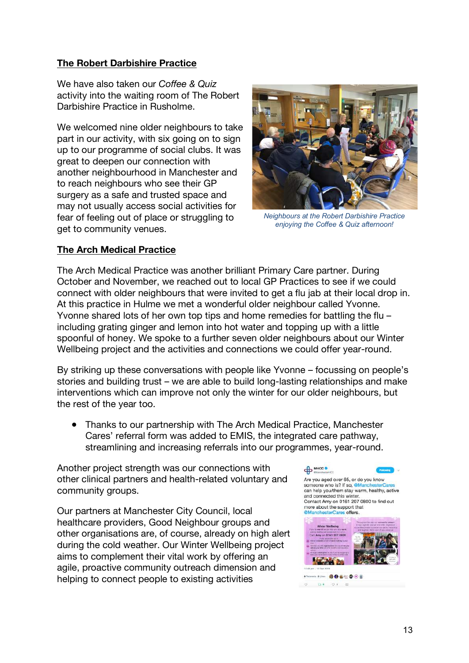#### **The Robert Darbishire Practice**

We have also taken our *Coffee & Quiz* activity into the waiting room of The Robert Darbishire Practice in Rusholme.

We welcomed nine older neighbours to take part in our activity, with six going on to sign up to our programme of social clubs. It was great to deepen our connection with another neighbourhood in Manchester and to reach neighbours who see their GP surgery as a safe and trusted space and may not usually access social activities for fear of feeling out of place or struggling to get to community venues.



*Neighbours at the Robert Darbishire Practice enjoying the Coffee & Quiz afternoon!*

#### **The Arch Medical Practice**

The Arch Medical Practice was another brilliant Primary Care partner. During October and November, we reached out to local GP Practices to see if we could connect with older neighbours that were invited to get a flu jab at their local drop in. At this practice in Hulme we met a wonderful older neighbour called Yvonne. Yvonne shared lots of her own top tips and home remedies for battling the flu – including grating ginger and lemon into hot water and topping up with a little spoonful of honey. We spoke to a further seven older neighbours about our Winter Wellbeing project and the activities and connections we could offer year-round.

By striking up these conversations with people like Yvonne – focussing on people's stories and building trust – we are able to build long-lasting relationships and make interventions which can improve not only the winter for our older neighbours, but the rest of the year too.

● Thanks to our partnership with The Arch Medical Practice, Manchester Cares' referral form was added to EMIS, the integrated care pathway, streamlining and increasing referrals into our programmes, year-round.

Another project strength was our connections with other clinical partners and health-related voluntary and community groups.

Our partners at Manchester City Council, local healthcare providers, Good Neighbour groups and other organisations are, of course, already on high alert during the cold weather. Our Winter Wellbeing project aims to complement their vital work by offering an agile, proactive community outreach dimension and helping to connect people to existing activities

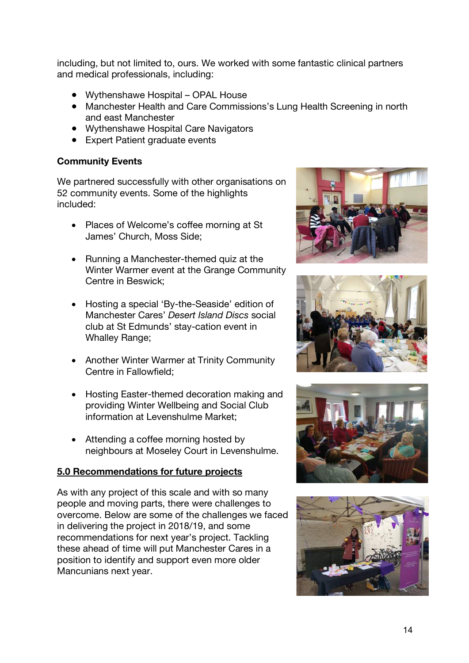including, but not limited to, ours. We worked with some fantastic clinical partners and medical professionals, including:

- Wythenshawe Hospital OPAL House
- Manchester Health and Care Commissions's Lung Health Screening in north and east Manchester
- Wythenshawe Hospital Care Navigators
- Expert Patient graduate events

#### **Community Events**

We partnered successfully with other organisations on 52 community events. Some of the highlights included:

- Places of Welcome's coffee morning at St James' Church, Moss Side;
- Running a Manchester-themed quiz at the Winter Warmer event at the Grange Community Centre in Beswick;
- Hosting a special 'By-the-Seaside' edition of Manchester Cares' *Desert Island Discs* social club at St Edmunds' stay-cation event in Whalley Range;
- Another Winter Warmer at Trinity Community Centre in Fallowfield;
- Hosting Easter-themed decoration making and providing Winter Wellbeing and Social Club information at Levenshulme Market;
- Attending a coffee morning hosted by neighbours at Moseley Court in Levenshulme.

#### **5.0 Recommendations for future projects**

As with any project of this scale and with so many people and moving parts, there were challenges to overcome. Below are some of the challenges we faced in delivering the project in 2018/19, and some recommendations for next year's project. Tackling these ahead of time will put Manchester Cares in a position to identify and support even more older Mancunians next year.







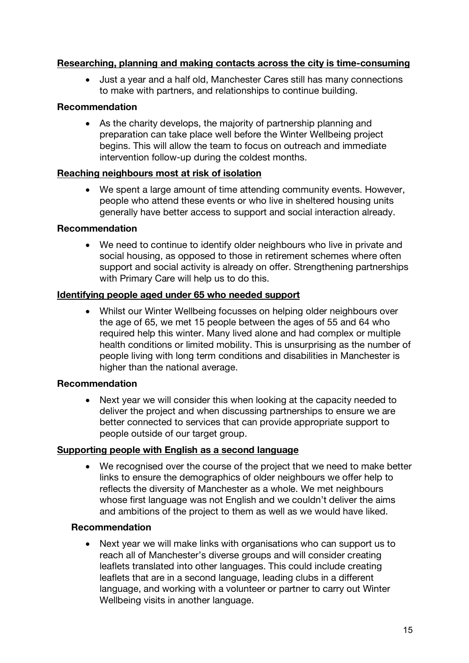#### **Researching, planning and making contacts across the city is time-consuming**

• Just a year and a half old, Manchester Cares still has many connections to make with partners, and relationships to continue building.

#### **Recommendation**

• As the charity develops, the majority of partnership planning and preparation can take place well before the Winter Wellbeing project begins. This will allow the team to focus on outreach and immediate intervention follow-up during the coldest months.

#### **Reaching neighbours most at risk of isolation**

• We spent a large amount of time attending community events. However, people who attend these events or who live in sheltered housing units generally have better access to support and social interaction already.

#### **Recommendation**

• We need to continue to identify older neighbours who live in private and social housing, as opposed to those in retirement schemes where often support and social activity is already on offer. Strengthening partnerships with Primary Care will help us to do this.

#### **Identifying people aged under 65 who needed support**

• Whilst our Winter Wellbeing focusses on helping older neighbours over the age of 65, we met 15 people between the ages of 55 and 64 who required help this winter. Many lived alone and had complex or multiple health conditions or limited mobility. This is unsurprising as the number of people living with long term conditions and disabilities in Manchester is higher than the national average.

#### **Recommendation**

Next year we will consider this when looking at the capacity needed to deliver the project and when discussing partnerships to ensure we are better connected to services that can provide appropriate support to people outside of our target group.

#### **Supporting people with English as a second language**

• We recognised over the course of the project that we need to make better links to ensure the demographics of older neighbours we offer help to reflects the diversity of Manchester as a whole. We met neighbours whose first language was not English and we couldn't deliver the aims and ambitions of the project to them as well as we would have liked.

#### **Recommendation**

• Next year we will make links with organisations who can support us to reach all of Manchester's diverse groups and will consider creating leaflets translated into other languages. This could include creating leaflets that are in a second language, leading clubs in a different language, and working with a volunteer or partner to carry out Winter Wellbeing visits in another language.